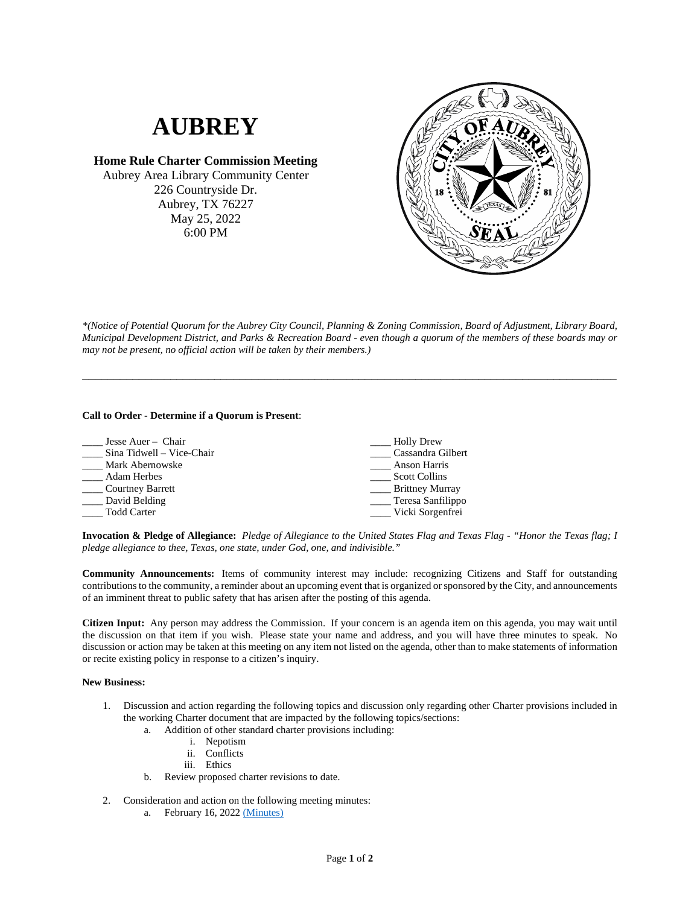## **AUBREY**

**Home Rule Charter Commission Meeting** Aubrey Area Library Community Center 226 Countryside Dr. Aubrey, TX 76227 May 25, 2022 6:00 PM



*\*(Notice of Potential Quorum for the Aubrey City Council, Planning & Zoning Commission, Board of Adjustment, Library Board, Municipal Development District, and Parks & Recreation Board - even though a quorum of the members of these boards may or may not be present, no official action will be taken by their members.)*

\_\_\_\_\_\_\_\_\_\_\_\_\_\_\_\_\_\_\_\_\_\_\_\_\_\_\_\_\_\_\_\_\_\_\_\_\_\_\_\_\_\_\_\_\_\_\_\_\_\_\_\_\_\_\_\_\_\_\_\_\_\_\_\_\_\_\_\_\_\_\_\_\_\_\_\_\_\_\_\_\_\_\_\_\_

## **Call to Order - Determine if a Quorum is Present**:

| Jesse Auer – Chair        | <b>Holly Drew</b>                 |
|---------------------------|-----------------------------------|
| Sina Tidwell - Vice-Chair | Cassandra Gilbert                 |
| Mark Abernowske           | <b>Anson Harris</b>               |
| <b>Adam Herbes</b>        | <b>Scott Collins</b>              |
| Courtney Barrett          | <b>Example 13 Brittney Murray</b> |
| _ David Belding           | __ Teresa Sanfilippo              |
| <b>Todd Carter</b>        | Vicki Sorgenfrei                  |

**Invocation & Pledge of Allegiance:** *Pledge of Allegiance to the United States Flag and Texas Flag - "Honor the Texas flag; I pledge allegiance to thee, Texas, one state, under God, one, and indivisible."*

**Community Announcements:** Items of community interest may include: recognizing Citizens and Staff for outstanding contributions to the community, a reminder about an upcoming event that is organized or sponsored by the City, and announcements of an imminent threat to public safety that has arisen after the posting of this agenda.

**Citizen Input:** Any person may address the Commission. If your concern is an agenda item on this agenda, you may wait until the discussion on that item if you wish. Please state your name and address, and you will have three minutes to speak. No discussion or action may be taken at this meeting on any item not listed on the agenda, other than to make statements of information or recite existing policy in response to a citizen's inquiry.

## **New Business:**

- 1. Discussion and action regarding the following topics and discussion only regarding other Charter provisions included in the working Charter document that are impacted by the following topics/sections:
	- a. Addition of other standard charter provisions including:
		- i. Nepotism
		- ii. Conflicts
		- iii. Ethics
	- b. Review proposed charter revisions to date.
- 2. Consideration and action on the following meeting minutes:
	- a. February 16, 2022 [\(Minutes\)](https://www.dropbox.com/s/8tgpquuwmuuvy6r/2022_02_16%20HRCC%20Minutes.pdf?dl=0)